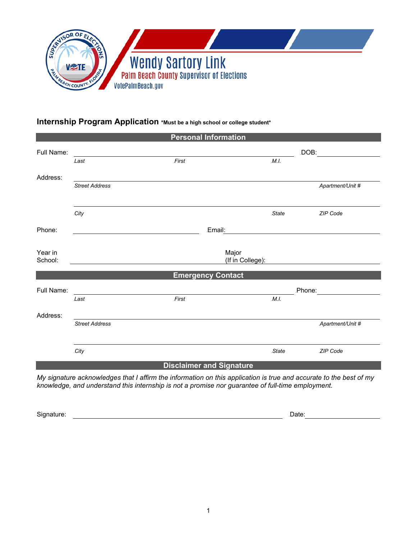

# **Internship Program Application \*Must be a high school or college student\***

| <b>Personal Information</b>     |                                                                                 |                           |        |                                |                  |  |
|---------------------------------|---------------------------------------------------------------------------------|---------------------------|--------|--------------------------------|------------------|--|
| Full Name:                      | the contract of the contract of the contract of the contract of the contract of |                           | DOB:   |                                |                  |  |
|                                 | Last                                                                            | First                     |        | M.I.                           |                  |  |
| Address:                        |                                                                                 |                           |        |                                |                  |  |
|                                 | Street Address                                                                  |                           |        |                                | Apartment/Unit # |  |
|                                 | .City                                                                           |                           |        | State                          | ZIP Code         |  |
| Phone:                          |                                                                                 |                           | Email: |                                |                  |  |
| Year in<br>School:              |                                                                                 | Major<br>(If in College): |        |                                |                  |  |
| <b>Emergency Contact</b>        |                                                                                 |                           |        |                                |                  |  |
| Full Name:                      |                                                                                 |                           |        | Phone: <u>________________</u> |                  |  |
|                                 | Last                                                                            | First                     |        | M.I.                           |                  |  |
| Address:                        |                                                                                 |                           |        |                                |                  |  |
|                                 | Street Address                                                                  |                           |        |                                | Apartment/Unit # |  |
|                                 | .City                                                                           |                           |        | State                          | ZIP Code         |  |
| <b>Disclaimer and Signature</b> |                                                                                 |                           |        |                                |                  |  |

*My signature acknowledges that I affirm the information on this application is true and accurate to the best of my knowledge, and understand this internship is not a promise nor guarantee of full-time employment.*

Signature: <u>New York: 19BDate: 19BDate: 19BDate: 19BDate: 19BDate: 19BDate: 19BDate: 19BDate: 19BDate:</u>